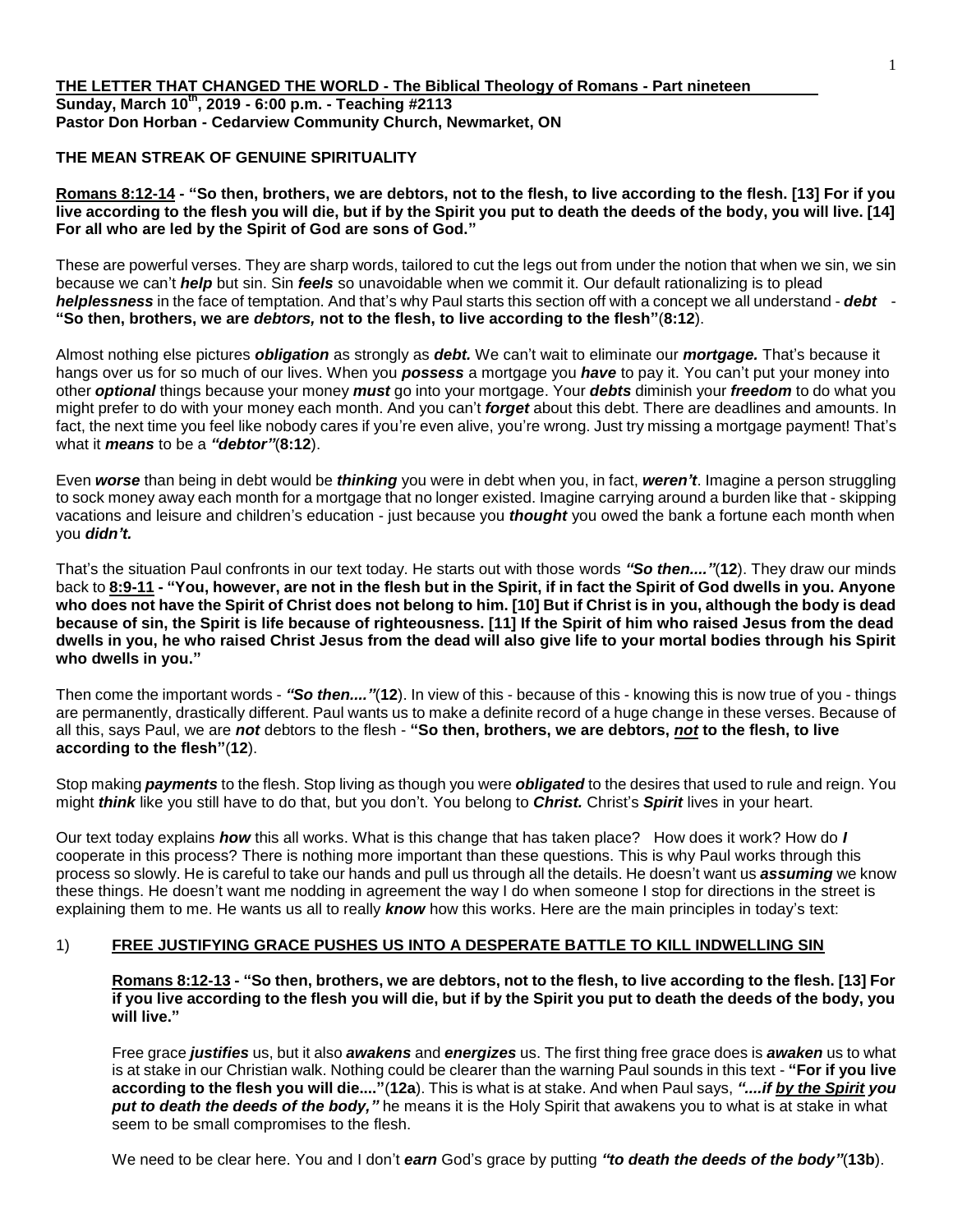### **THE MEAN STREAK OF GENUINE SPIRITUALITY**

**Romans 8:12-14 - "So then, brothers, we are debtors, not to the flesh, to live according to the flesh. [13] For if you live according to the flesh you will die, but if by the Spirit you put to death the deeds of the body, you will live. [14] For all who are led by the Spirit of God are sons of God."**

These are powerful verses. They are sharp words, tailored to cut the legs out from under the notion that when we sin, we sin because we can't *help* but sin. Sin *feels* so unavoidable when we commit it. Our default rationalizing is to plead *helplessness* in the face of temptation. And that's why Paul starts this section off with a concept we all understand - *debt* - **"So then, brothers, we are** *debtors,* **not to the flesh, to live according to the flesh"**(**8:12**).

Almost nothing else pictures *obligation* as strongly as *debt.* We can't wait to eliminate our *mortgage.* That's because it hangs over us for so much of our lives. When you *possess* a mortgage you *have* to pay it. You can't put your money into other *optional* things because your money *must* go into your mortgage. Your *debts* diminish your *freedom* to do what you might prefer to do with your money each month. And you can't *forget* about this debt. There are deadlines and amounts. In fact, the next time you feel like nobody cares if you're even alive, you're wrong. Just try missing a mortgage payment! That's what it *means* to be a *"debtor"*(**8:12**).

Even *worse* than being in debt would be *thinking* you were in debt when you, in fact, *weren't*. Imagine a person struggling to sock money away each month for a mortgage that no longer existed. Imagine carrying around a burden like that - skipping vacations and leisure and children's education - just because you *thought* you owed the bank a fortune each month when you *didn't.*

That's the situation Paul confronts in our text today. He starts out with those words *"So then...."*(**12**). They draw our minds back to **8:9-11 - "You, however, are not in the flesh but in the Spirit, if in fact the Spirit of God dwells in you. Anyone who does not have the Spirit of Christ does not belong to him. [10] But if Christ is in you, although the body is dead because of sin, the Spirit is life because of righteousness. [11] If the Spirit of him who raised Jesus from the dead dwells in you, he who raised Christ Jesus from the dead will also give life to your mortal bodies through his Spirit who dwells in you."**

Then come the important words - *"So then...."*(**12**). In view of this - because of this - knowing this is now true of you - things are permanently, drastically different. Paul wants us to make a definite record of a huge change in these verses. Because of all this, says Paul, we are *not* debtors to the flesh - **"So then, brothers, we are debtors,** *not* **to the flesh, to live according to the flesh"**(**12**).

Stop making *payments* to the flesh. Stop living as though you were *obligated* to the desires that used to rule and reign. You might *think* like you still have to do that, but you don't. You belong to *Christ.* Christ's *Spirit* lives in your heart.

Our text today explains *how* this all works. What is this change that has taken place? How does it work? How do *I* cooperate in this process? There is nothing more important than these questions. This is why Paul works through this process so slowly. He is careful to take our hands and pull us through all the details. He doesn't want us *assuming* we know these things. He doesn't want me nodding in agreement the way I do when someone I stop for directions in the street is explaining them to me. He wants us all to really *know* how this works. Here are the main principles in today's text:

# 1) **FREE JUSTIFYING GRACE PUSHES US INTO A DESPERATE BATTLE TO KILL INDWELLING SIN**

**Romans 8:12-13 - "So then, brothers, we are debtors, not to the flesh, to live according to the flesh. [13] For if you live according to the flesh you will die, but if by the Spirit you put to death the deeds of the body, you will live."**

Free grace *justifies* us, but it also *awakens* and *energizes* us. The first thing free grace does is *awaken* us to what is at stake in our Christian walk. Nothing could be clearer than the warning Paul sounds in this text - **"For if you live according to the flesh you will die...."**(**12a**). This is what is at stake. And when Paul says, *"....if by the Spirit you put to death the deeds of the body,"* he means it is the Holy Spirit that awakens you to what is at stake in what seem to be small compromises to the flesh.

We need to be clear here. You and I don't *earn* God's grace by putting *"to death the deeds of the body"*(**13b**).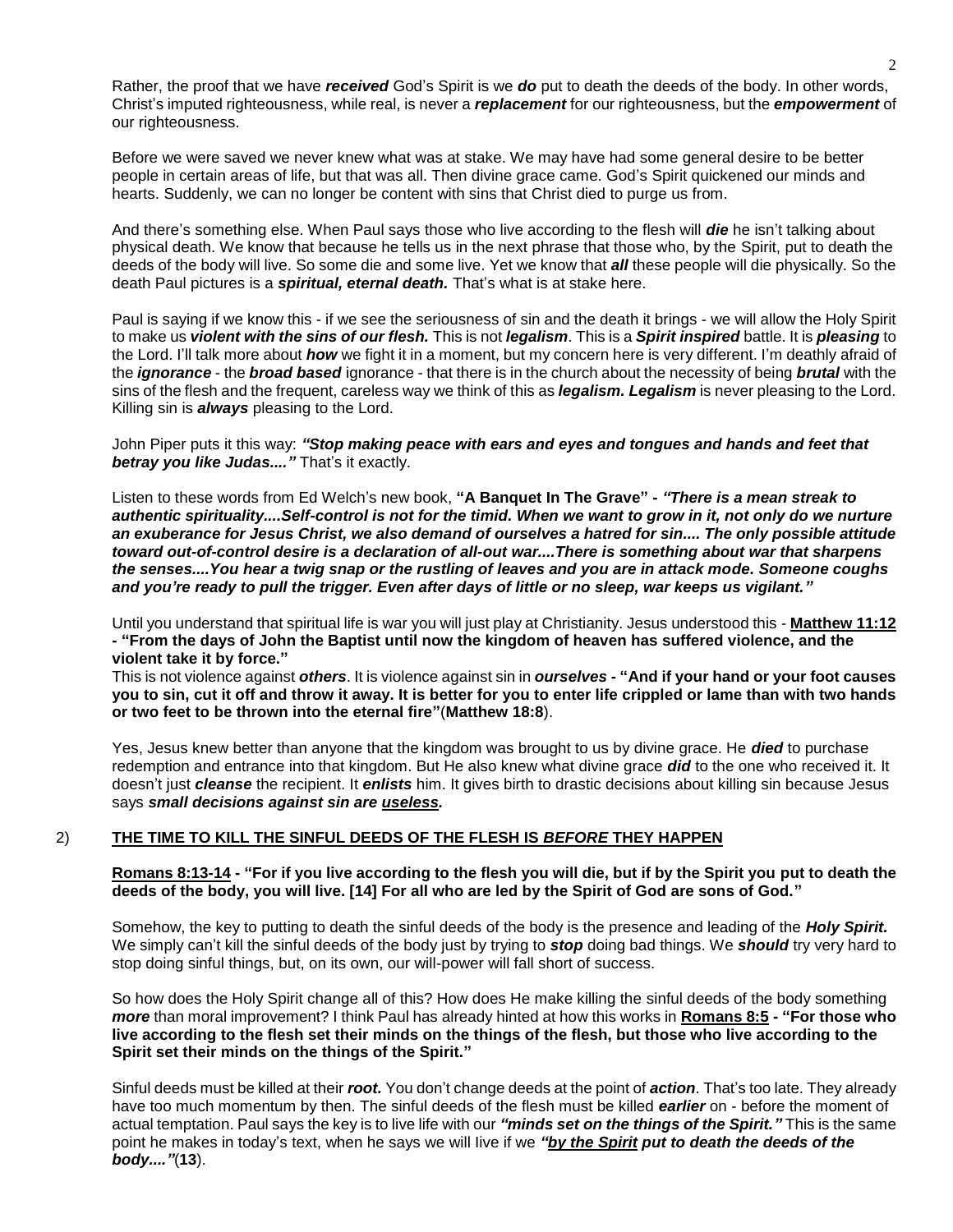Rather, the proof that we have *received* God's Spirit is we *do* put to death the deeds of the body. In other words, Christ's imputed righteousness, while real, is never a *replacement* for our righteousness, but the *empowerment* of our righteousness.

Before we were saved we never knew what was at stake. We may have had some general desire to be better people in certain areas of life, but that was all. Then divine grace came. God's Spirit quickened our minds and hearts. Suddenly, we can no longer be content with sins that Christ died to purge us from.

And there's something else. When Paul says those who live according to the flesh will *die* he isn't talking about physical death. We know that because he tells us in the next phrase that those who, by the Spirit, put to death the deeds of the body will live. So some die and some live. Yet we know that *all* these people will die physically. So the death Paul pictures is a *spiritual, eternal death.* That's what is at stake here.

Paul is saying if we know this - if we see the seriousness of sin and the death it brings - we will allow the Holy Spirit to make us *violent with the sins of our flesh.* This is not *legalism*. This is a *Spirit inspired* battle. It is *pleasing* to the Lord. I'll talk more about *how* we fight it in a moment, but my concern here is very different. I'm deathly afraid of the *ignorance* - the *broad based* ignorance - that there is in the church about the necessity of being *brutal* with the sins of the flesh and the frequent, careless way we think of this as *legalism. Legalism* is never pleasing to the Lord. Killing sin is *always* pleasing to the Lord.

John Piper puts it this way: *"Stop making peace with ears and eyes and tongues and hands and feet that betray you like Judas...."* That's it exactly.

Listen to these words from Ed Welch's new book, **"A Banquet In The Grave" -** *"There is a mean streak to authentic spirituality....Self-control is not for the timid. When we want to grow in it, not only do we nurture an exuberance for Jesus Christ, we also demand of ourselves a hatred for sin.... The only possible attitude toward out-of-control desire is a declaration of all-out war....There is something about war that sharpens the senses....You hear a twig snap or the rustling of leaves and you are in attack mode. Someone coughs and you're ready to pull the trigger. Even after days of little or no sleep, war keeps us vigilant."*

Until you understand that spiritual life is war you will just play at Christianity. Jesus understood this - **Matthew 11:12 - "From the days of John the Baptist until now the kingdom of heaven has suffered violence, and the violent take it by force."**

This is not violence against *others*. It is violence against sin in *ourselves* **- "And if your hand or your foot causes you to sin, cut it off and throw it away. It is better for you to enter life crippled or lame than with two hands or two feet to be thrown into the eternal fire"**(**Matthew 18:8**).

Yes, Jesus knew better than anyone that the kingdom was brought to us by divine grace. He *died* to purchase redemption and entrance into that kingdom. But He also knew what divine grace *did* to the one who received it. It doesn't just *cleanse* the recipient. It *enlists* him. It gives birth to drastic decisions about killing sin because Jesus says *small decisions against sin are useless.* 

# 2) **THE TIME TO KILL THE SINFUL DEEDS OF THE FLESH IS** *BEFORE* **THEY HAPPEN**

#### **Romans 8:13-14 - "For if you live according to the flesh you will die, but if by the Spirit you put to death the deeds of the body, you will live. [14] For all who are led by the Spirit of God are sons of God."**

Somehow, the key to putting to death the sinful deeds of the body is the presence and leading of the *Holy Spirit.*  We simply can't kill the sinful deeds of the body just by trying to *stop* doing bad things. We *should* try very hard to stop doing sinful things, but, on its own, our will-power will fall short of success.

So how does the Holy Spirit change all of this? How does He make killing the sinful deeds of the body something *more* than moral improvement? I think Paul has already hinted at how this works in **Romans 8:5 - "For those who live according to the flesh set their minds on the things of the flesh, but those who live according to the Spirit set their minds on the things of the Spirit."**

Sinful deeds must be killed at their *root.* You don't change deeds at the point of *action*. That's too late. They already have too much momentum by then. The sinful deeds of the flesh must be killed *earlier* on - before the moment of actual temptation. Paul says the key is to live life with our *"minds set on the things of the Spirit."* This is the same point he makes in today's text, when he says we will Iive if we *"by the Spirit put to death the deeds of the body...."*(**13**).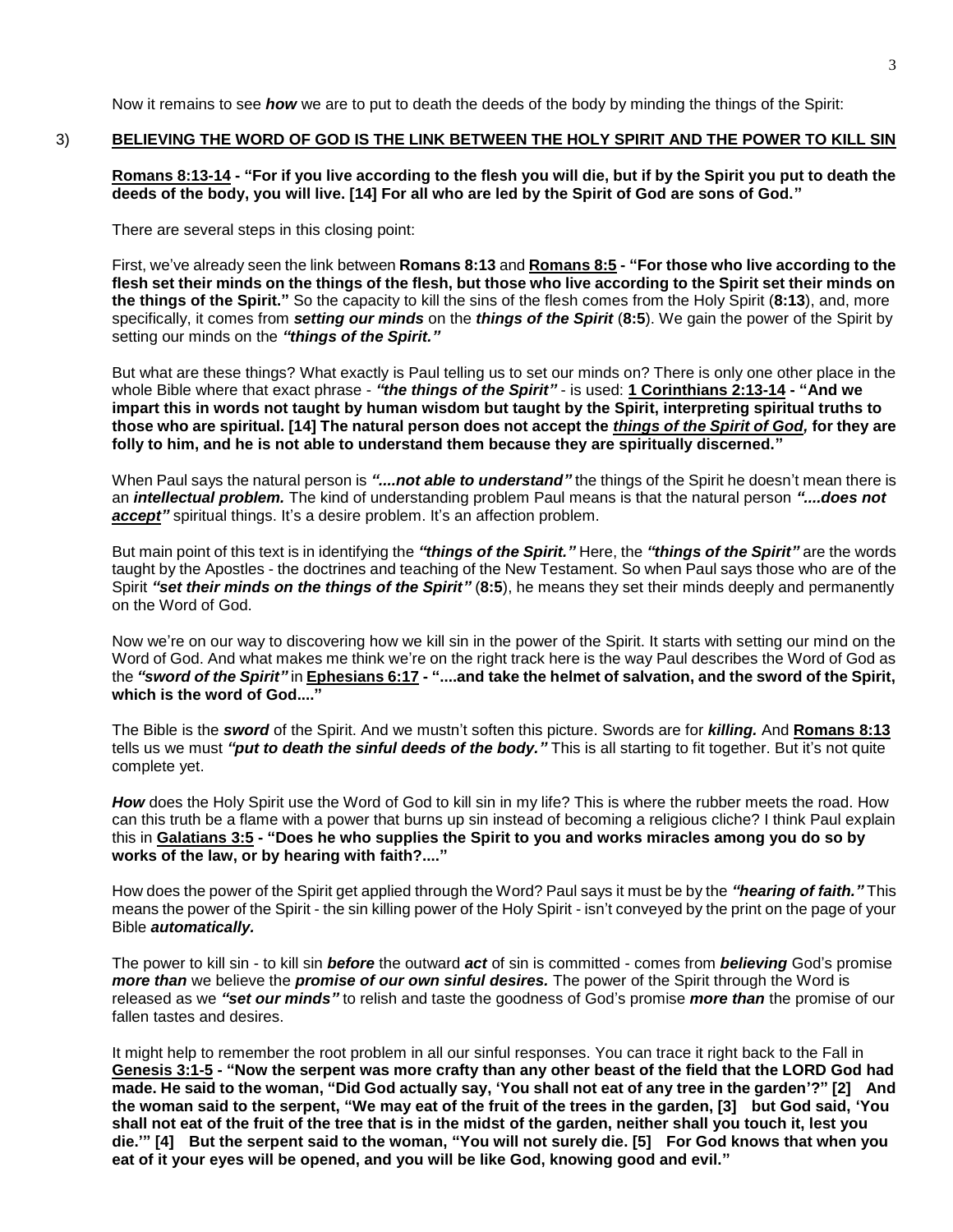Now it remains to see *how* we are to put to death the deeds of the body by minding the things of the Spirit:

#### 3) **BELIEVING THE WORD OF GOD IS THE LINK BETWEEN THE HOLY SPIRIT AND THE POWER TO KILL SIN**

**Romans 8:13-14 - "For if you live according to the flesh you will die, but if by the Spirit you put to death the deeds of the body, you will live. [14] For all who are led by the Spirit of God are sons of God."**

There are several steps in this closing point:

First, we've already seen the link between **Romans 8:13** and **Romans 8:5 - "For those who live according to the flesh set their minds on the things of the flesh, but those who live according to the Spirit set their minds on the things of the Spirit."** So the capacity to kill the sins of the flesh comes from the Holy Spirit (**8:13**), and, more specifically, it comes from *setting our minds* on the *things of the Spirit* (**8:5**). We gain the power of the Spirit by setting our minds on the *"things of the Spirit."*

But what are these things? What exactly is Paul telling us to set our minds on? There is only one other place in the whole Bible where that exact phrase - *"the things of the Spirit"* - is used: **1 Corinthians 2:13-14 - "And we impart this in words not taught by human wisdom but taught by the Spirit, interpreting spiritual truths to those who are spiritual. [14] The natural person does not accept the** *things of the Spirit of God,* **for they are folly to him, and he is not able to understand them because they are spiritually discerned."**

When Paul says the natural person is "....not able to understand" the things of the Spirit he doesn't mean there is an *intellectual problem.* The kind of understanding problem Paul means is that the natural person *"....does not*  accept" spiritual things. It's a desire problem. It's an affection problem.

But main point of this text is in identifying the *"things of the Spirit."* Here, the *"things of the Spirit"* are the words taught by the Apostles - the doctrines and teaching of the New Testament. So when Paul says those who are of the Spirit *"set their minds on the things of the Spirit"* (**8:5**), he means they set their minds deeply and permanently on the Word of God.

Now we're on our way to discovering how we kill sin in the power of the Spirit. It starts with setting our mind on the Word of God. And what makes me think we're on the right track here is the way Paul describes the Word of God as the *"sword of the Spirit"* in **Ephesians 6:17 - "....and take the helmet of salvation, and the sword of the Spirit, which is the word of God...."**

The Bible is the *sword* of the Spirit. And we mustn't soften this picture. Swords are for *killing.* And **Romans 8:13** tells us we must *"put to death the sinful deeds of the body."* This is all starting to fit together. But it's not quite complete yet.

*How* does the Holy Spirit use the Word of God to kill sin in my life? This is where the rubber meets the road. How can this truth be a flame with a power that burns up sin instead of becoming a religious cliche? I think Paul explain this in **Galatians 3:5 - "Does he who supplies the Spirit to you and works miracles among you do so by works of the law, or by hearing with faith?...."**

How does the power of the Spirit get applied through the Word? Paul says it must be by the *"hearing of faith."* This means the power of the Spirit - the sin killing power of the Holy Spirit - isn't conveyed by the print on the page of your Bible *automatically.*

The power to kill sin - to kill sin *before* the outward *act* of sin is committed - comes from *believing* God's promise *more than* we believe the *promise of our own sinful desires.* The power of the Spirit through the Word is released as we *"set our minds"* to relish and taste the goodness of God's promise *more than* the promise of our fallen tastes and desires.

It might help to remember the root problem in all our sinful responses. You can trace it right back to the Fall in **Genesis 3:1-5 - "Now the serpent was more crafty than any other beast of the field that the LORD God had made. He said to the woman, "Did God actually say, 'You shall not eat of any tree in the garden'?" [2] And the woman said to the serpent, "We may eat of the fruit of the trees in the garden, [3] but God said, 'You shall not eat of the fruit of the tree that is in the midst of the garden, neither shall you touch it, lest you die.'" [4] But the serpent said to the woman, "You will not surely die. [5] For God knows that when you eat of it your eyes will be opened, and you will be like God, knowing good and evil."**